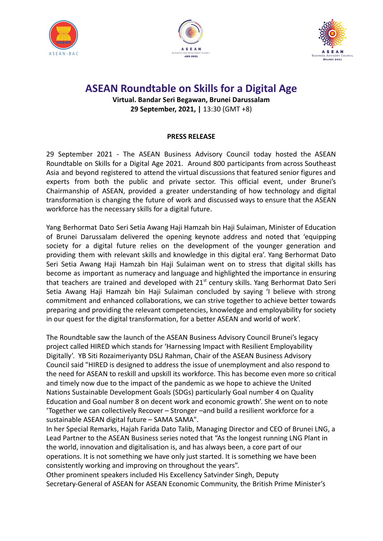





## **ASEAN Roundtable on Skills for a Digital Age**

**Virtual. Bandar Seri Begawan, Brunei Darussalam 29 September, 2021, |** 13:30 (GMT +8)

## **PRESS RELEASE**

29 September 2021 - The ASEAN Business Advisory Council today hosted the ASEAN Roundtable on Skills for a Digital Age 2021. Around 800 participants from across Southeast Asia and beyond registered to attend the virtual discussions that featured senior figures and experts from both the public and private sector. This official event, under Brunei's Chairmanship of ASEAN, provided a greater understanding of how technology and digital transformation is changing the future of work and discussed ways to ensure that the ASEAN workforce has the necessary skills for a digital future.

Yang Berhormat Dato Seri Setia Awang Haji Hamzah bin Haji Sulaiman, Minister of Education of Brunei Darussalam delivered the opening keynote address and noted that 'equipping society for a digital future relies on the development of the younger generation and providing them with relevant skills and knowledge in this digital era'. Yang Berhormat Dato Seri Setia Awang Haji Hamzah bin Haji Sulaiman went on to stress that digital skills has become as important as numeracy and language and highlighted the importance in ensuring that teachers are trained and developed with  $21<sup>st</sup>$  century skills. Yang Berhormat Dato Seri Setia Awang Haji Hamzah bin Haji Sulaiman concluded by saying 'I believe with strong commitment and enhanced collaborations, we can strive together to achieve better towards preparing and providing the relevant competencies, knowledge and employability for society in our quest for the digital transformation, for a better ASEAN and world of work'.

The Roundtable saw the launch of the ASEAN Business Advisory Council Brunei's legacy project called HIRED which stands for 'Harnessing Impact with Resilient Employability Digitally'. YB Siti Rozaimeriyanty DSLJ Rahman, Chair of the ASEAN Business Advisory Council said "HIRED is designed to address the issue of unemployment and also respond to the need for ASEAN to reskill and upskill its workforce. This has become even more so critical and timely now due to the impact of the pandemic as we hope to achieve the United Nations Sustainable Development Goals (SDGs) particularly Goal number 4 on Quality Education and Goal number 8 on decent work and economic growth'. She went on to note 'Together we can collectively Recover – Stronger –and build a resilient workforce for a sustainable ASEAN digital future – SAMA SAMA".

In her Special Remarks, Hajah Farida Dato Talib, Managing Director and CEO of Brunei LNG, a Lead Partner to the ASEAN Business series noted that "As the longest running LNG Plant in the world, innovation and digitalisation is, and has always been, a core part of our operations. It is not something we have only just started. It is something we have been consistently working and improving on throughout the years".

Other prominent speakers included His Excellency Satvinder Singh, Deputy Secretary-General of ASEAN for ASEAN Economic Community, the British Prime Minister's